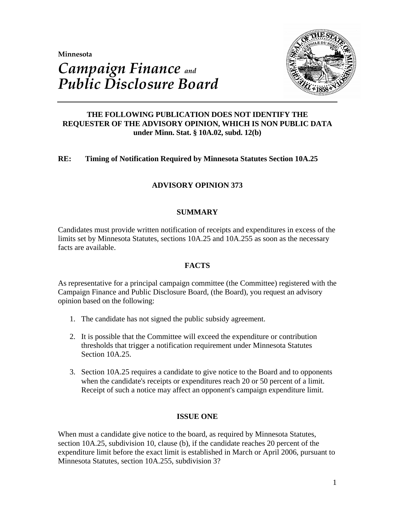**Minnesota** 



# *Campaign Finance and Public Disclosure Board*

# **THE FOLLOWING PUBLICATION DOES NOT IDENTIFY THE REQUESTER OF THE ADVISORY OPINION, WHICH IS NON PUBLIC DATA under Minn. Stat. § 10A.02, subd. 12(b)**

# **RE: Timing of Notification Required by Minnesota Statutes Section 10A.25**

# **ADVISORY OPINION 373**

# **SUMMARY**

Candidates must provide written notification of receipts and expenditures in excess of the limits set by Minnesota Statutes, sections 10A.25 and 10A.255 as soon as the necessary facts are available.

# **FACTS**

As representative for a principal campaign committee (the Committee) registered with the Campaign Finance and Public Disclosure Board, (the Board), you request an advisory opinion based on the following:

- 1. The candidate has not signed the public subsidy agreement.
- 2. It is possible that the Committee will exceed the expenditure or contribution thresholds that trigger a notification requirement under Minnesota Statutes Section 10A.25.
- 3. Section 10A.25 requires a candidate to give notice to the Board and to opponents when the candidate's receipts or expenditures reach 20 or 50 percent of a limit. Receipt of such a notice may affect an opponent's campaign expenditure limit.

# **ISSUE ONE**

When must a candidate give notice to the board, as required by Minnesota Statutes, section 10A.25, subdivision 10, clause (b), if the candidate reaches 20 percent of the expenditure limit before the exact limit is established in March or April 2006, pursuant to Minnesota Statutes, section 10A.255, subdivision 3?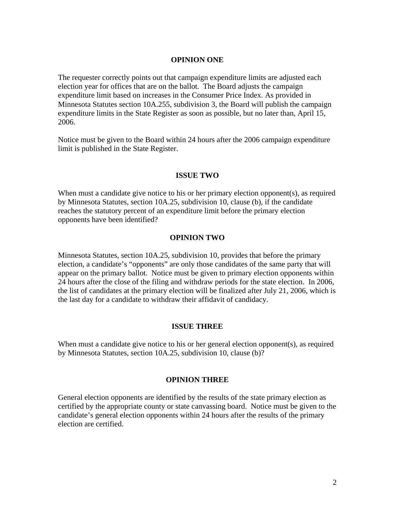#### **OPINION ONE**

The requester correctly points out that campaign expenditure limits are adjusted each election year for offices that are on the ballot. The Board adjusts the campaign expenditure limit based on increases in the Consumer Price Index. As provided in Minnesota Statutes section 10A.255, subdivision 3, the Board will publish the campaign expenditure limits in the State Register as soon as possible, but no later than, April 15, 2006.

Notice must be given to the Board within 24 hours after the 2006 campaign expenditure limit is published in the State Register.

#### **ISSUE TWO**

When must a candidate give notice to his or her primary election opponent(s), as required by Minnesota Statutes, section 10A.25, subdivision 10, clause (b), if the candidate reaches the statutory percent of an expenditure limit before the primary election opponents have been identified?

#### **OPINION TWO**

Minnesota Statutes, section 10A.25, subdivision 10, provides that before the primary election, a candidate's "opponents" are only those candidates of the same party that will appear on the primary ballot. Notice must be given to primary election opponents within 24 hours after the close of the filing and withdraw periods for the state election. In 2006, the list of candidates at the primary election will be finalized after July 21, 2006, which is the last day for a candidate to withdraw their affidavit of candidacy.

## **ISSUE THREE**

When must a candidate give notice to his or her general election opponent(s), as required by Minnesota Statutes, section 10A.25, subdivision 10, clause (b)?

## **OPINION THREE**

General election opponents are identified by the results of the state primary election as certified by the appropriate county or state canvassing board. Notice must be given to the candidate's general election opponents within 24 hours after the results of the primary election are certified.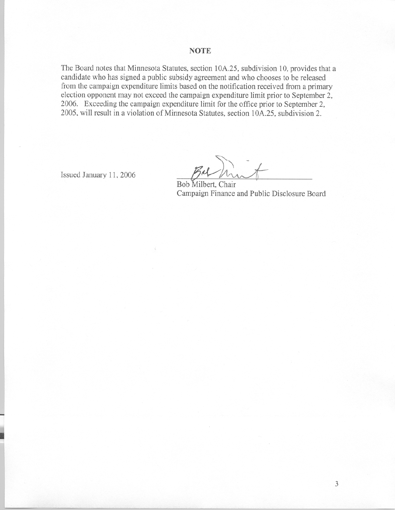#### **NOTE**

The Board notes that Minnesota Statutes, section 10A.25, subdivision 10, provides that a candidate who has signed a public subsidy agreement and who chooses to be released from the campaign expenditure limits based on the notification received from a primary election opponent may not exceed the campaign expenditure limit prior to September 2, 2006. Exceeding the campaign expenditure limit for the office prior to September 2, 2005, will result in a violation of Minnesota Statutes, section 10A.25, subdivision 2.

Issued January 11, 2006

Bob Milbert, Chair Campaign Finance and Public Disclosure Board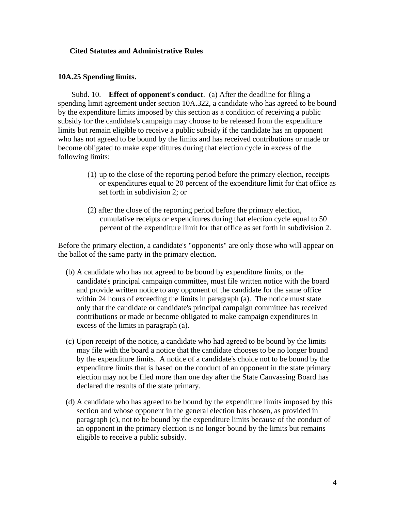## **Cited Statutes and Administrative Rules**

#### **10A.25 Spending limits.**

 Subd. 10. **Effect of opponent's conduct**. (a) After the deadline for filing a spending limit agreement under section 10A.322, a candidate who has agreed to be bound by the expenditure limits imposed by this section as a condition of receiving a public subsidy for the candidate's campaign may choose to be released from the expenditure limits but remain eligible to receive a public subsidy if the candidate has an opponent who has not agreed to be bound by the limits and has received contributions or made or become obligated to make expenditures during that election cycle in excess of the following limits:

- (1) up to the close of the reporting period before the primary election, receipts or expenditures equal to 20 percent of the expenditure limit for that office as set forth in subdivision 2; or
- (2) after the close of the reporting period before the primary election, cumulative receipts or expenditures during that election cycle equal to 50 percent of the expenditure limit for that office as set forth in subdivision 2.

Before the primary election, a candidate's "opponents" are only those who will appear on the ballot of the same party in the primary election.

- (b) A candidate who has not agreed to be bound by expenditure limits, or the candidate's principal campaign committee, must file written notice with the board and provide written notice to any opponent of the candidate for the same office within 24 hours of exceeding the limits in paragraph (a). The notice must state only that the candidate or candidate's principal campaign committee has received contributions or made or become obligated to make campaign expenditures in excess of the limits in paragraph (a).
- (c) Upon receipt of the notice, a candidate who had agreed to be bound by the limits may file with the board a notice that the candidate chooses to be no longer bound by the expenditure limits. A notice of a candidate's choice not to be bound by the expenditure limits that is based on the conduct of an opponent in the state primary election may not be filed more than one day after the State Canvassing Board has declared the results of the state primary.
- (d) A candidate who has agreed to be bound by the expenditure limits imposed by this section and whose opponent in the general election has chosen, as provided in paragraph (c), not to be bound by the expenditure limits because of the conduct of an opponent in the primary election is no longer bound by the limits but remains eligible to receive a public subsidy.